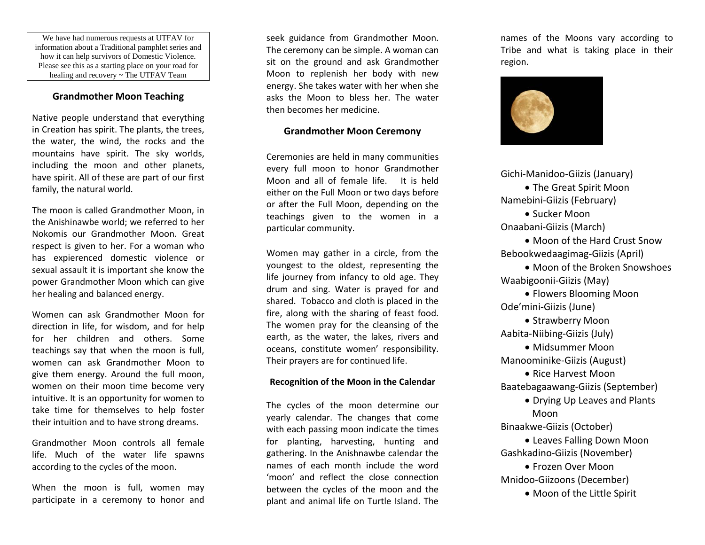We have had numerous requests at UTFAV for information about a Traditional pamphlet series and how it can help survivors of Domestic Violence. Please see this as a starting place on your road for healing and recovery ~ The UTFAV Team

## **Grandmother Moon Teaching**

Native people understand that everything in Creation has spirit. The plants, the trees, the water, the wind, the rocks and the mountains have spirit. The sky worlds, including the moon and other planets, have spirit. All of these are part of our first family, the natural world.

The moon is called Grandmother Moon, in the Anishinawbe world; we referred to her Nokomis our Grandmother Moon. Great respect is given to her. For a woman who has expierenced domestic violence or sexual assault it is important she know the power Grandmother Moon which can give her healing and balanced energy.

Women can ask Grandmother Moon for direction in life, for wisdom, and for help for her children and others. Some teachings say that when the moon is full, women can ask Grandmother Moon to give them energy. Around the full moon, women on their moon time become very intuitive. It is an opportunity for women to take time for themselves to help foster their intuition and to have strong dreams.

Grandmother Moon controls all female life. Much of the water life spawns according to the cycles of the moon.

When the moon is full, women may participate in a ceremony to honor and

seek guidance from Grandmother Moon. The ceremony can be simple. A woman can sit on the ground and ask Grandmother Moon to replenish her body with new energy. She takes water with her when she asks the Moon to bless her. The water then becomes her medicine.

## **Grandmother Moon Ceremony**

Ceremonies are held in many communities every full moon to honor Grandmother Moon and all of female life. It is held either on the Full Moon or two days before or after the Full Moon, depending on the teachings given to the women in a particular community.

Women may gather in a circle, from the youngest to the oldest, representing the life journey from infancy to old age. They drum and sing. Water is prayed for and shared. Tobacco and cloth is placed in the fire, along with the sharing of feast food. The women pray for the cleansing of the earth, as the water, the lakes, rivers and oceans, constitute women' responsibility. Their prayers are for continued life.

## **Recognition of the Moon in the Calendar**

The cycles of the moon determine our yearly calendar. The changes that come with each passing moon indicate the times for planting, harvesting, hunting and gathering. In the Anishnawbe calendar the names of each month include the word 'moon' and reflect the close connection between the cycles of the moon and the plant and animal life on Turtle Island. The

names of the Moons vary according to Tribe and what is taking place in their region.



Gichi-Manidoo-Giizis (January) • The Great Spirit Moon Namebini-Giizis (February) • Sucker Moon Onaabani-Giizis (March)

• Moon of the Hard Crust Snow Bebookwedaagimag-Giizis (April)

• Moon of the Broken Snowshoes Waabigoonii-Giizis (May)

• Flowers Blooming Moon Ode'mini-Giizis (June)

• Strawberry Moon Aabita-Niibing-Giizis (July) • Midsummer Moon Manoominike-Giizis (August) • Rice Harvest Moon Baatebagaawang-Giizis (September) • Drying Up Leaves and Plants Moon Binaakwe-Giizis (October) • Leaves Falling Down Moon Gashkadino-Giizis (November) • Frozen Over Moon Mnidoo-Giizoons (December)

• Moon of the Little Spirit